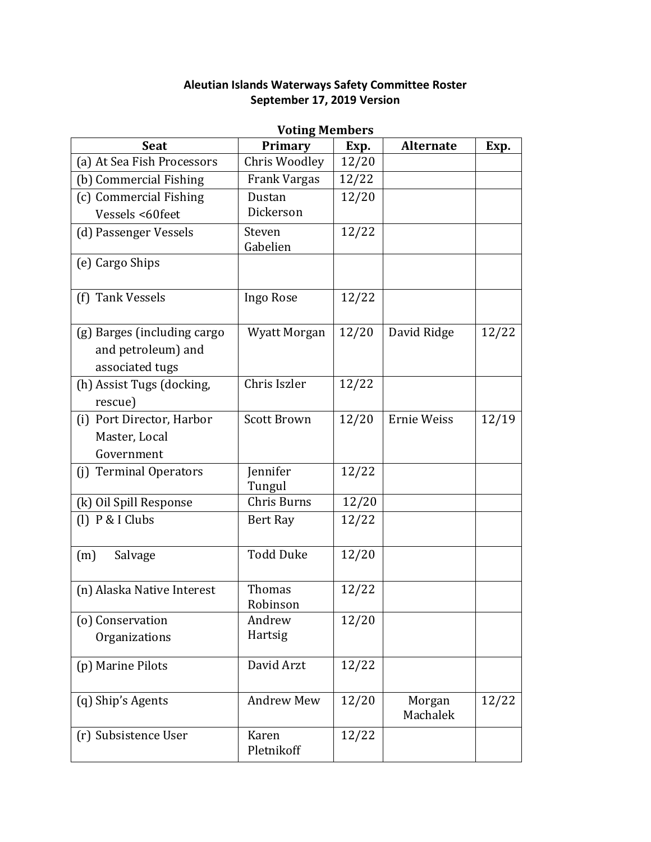## **Aleutian Islands Waterways Safety Committee Roster September 17, 2019 Version**

| <b>Voting Members</b>                                                |                           |       |                    |       |
|----------------------------------------------------------------------|---------------------------|-------|--------------------|-------|
| <b>Seat</b>                                                          | Primary                   | Exp.  | <b>Alternate</b>   | Exp.  |
| (a) At Sea Fish Processors                                           | Chris Woodley             | 12/20 |                    |       |
| (b) Commercial Fishing                                               | Frank Vargas              | 12/22 |                    |       |
| (c) Commercial Fishing                                               | Dustan                    | 12/20 |                    |       |
| Vessels <60feet                                                      | Dickerson                 |       |                    |       |
| (d) Passenger Vessels                                                | Steven<br>Gabelien        | 12/22 |                    |       |
| (e) Cargo Ships                                                      |                           |       |                    |       |
| (f) Tank Vessels                                                     | Ingo Rose                 | 12/22 |                    |       |
| (g) Barges (including cargo<br>and petroleum) and<br>associated tugs | <b>Wyatt Morgan</b>       | 12/20 | David Ridge        | 12/22 |
| (h) Assist Tugs (docking,<br>rescue)                                 | Chris Iszler              | 12/22 |                    |       |
| (i) Port Director, Harbor<br>Master, Local<br>Government             | <b>Scott Brown</b>        | 12/20 | Ernie Weiss        | 12/19 |
| <b>Terminal Operators</b><br>(i)                                     | Jennifer<br>Tungul        | 12/22 |                    |       |
| (k) Oil Spill Response                                               | Chris Burns               | 12/20 |                    |       |
| $(1)$ P & I Clubs                                                    | Bert Ray                  | 12/22 |                    |       |
| (m)<br>Salvage                                                       | <b>Todd Duke</b>          | 12/20 |                    |       |
| (n) Alaska Native Interest                                           | <b>Thomas</b><br>Robinson | 12/22 |                    |       |
| (o) Conservation<br>Organizations                                    | Andrew<br>Hartsig         | 12/20 |                    |       |
| (p) Marine Pilots                                                    | David Arzt                | 12/22 |                    |       |
| (q) Ship's Agents                                                    | <b>Andrew Mew</b>         | 12/20 | Morgan<br>Machalek | 12/22 |
| (r) Subsistence User                                                 | Karen<br>Pletnikoff       | 12/22 |                    |       |